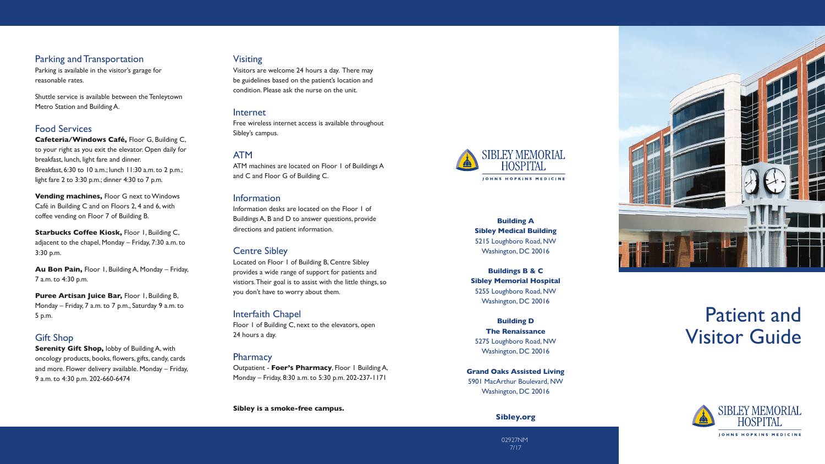# Patient and Visitor Guide



## Parking and Transportation

Parking is available in the visitor's garage for reasonable rates.

Shuttle service is available between the Tenleytown Metro Station and Building A.

# Food Services

**Cafeteria/Windows Café,** Floor G, Building C, to your right as you exit the elevator. Open daily for breakfast, lunch, light fare and dinner. Breakfast, 6:30 to 10 a.m.; lunch 11:30 a.m. to 2 p.m.; light fare 2 to 3:30 p.m.; dinner 4:30 to 7 p.m.

**Starbucks Coffee Kiosk, Floor I, Building C,** adjacent to the chapel, Monday – Friday, 7:30 a.m. to 3:30 p.m.

**Puree Artisan Juice Bar, Floor 1, Building B,** Monday – Friday, 7 a.m. to 7 p.m., Saturday 9 a.m. to 5 p.m.

**Vending machines,** Floor G next to Windows Café in Building C and on Floors 2, 4 and 6, with coffee vending on Floor 7 of Building B.

**Serenity Gift Shop, lobby of Building A, with** oncology products, books, flowers, gifts, candy, cards and more. Flower delivery available. Monday – Friday, 9 a.m. to 4:30 p.m. 202-660-6474

**Au Bon Pain,** Floor 1, Building A, Monday – Friday, 7 a.m. to 4:30 p.m.

# Gift Shop

# Visiting

Visitors are welcome 24 hours a day. There may be guidelines based on the patient's location and condition. Please ask the nurse on the unit.

## Internet

Free wireless internet access is available throughout Sibley's campus.

## ATM

ATM machines are located on Floor 1 of Buildings A and C and Floor G of Building C.

## Information

Information desks are located on the Floor 1 of Buildings A, B and D to answer questions, provide directions and patient information.

# Centre Sibley

Located on Floor 1 of Building B, Centre Sibley provides a wide range of support for patients and vistiors. Their goal is to assist with the little things, so you don't have to worry about them.

## Interfaith Chapel

Floor 1 of Building C, next to the elevators, open 24 hours a day.

## **Pharmacy**

Outpatient - **Foer's Pharmacy**, Floor 1 Building A, Monday – Friday, 8:30 a.m. to 5:30 p.m. 202-237-1171

**Sibley is a smoke-free campus.**



**Building A Sibley Medical Building** 5215 Loughboro Road, NW Washington, DC 20016

**Buildings B & C Sibley Memorial Hospital** 5255 Loughboro Road, NW Washington, DC 20016

#### **Building D The Renaissance**

5275 Loughboro Road, NW Washington, DC 20016

**Grand Oaks Assisted Living** 5901 MacArthur Boulevard, NW Washington, DC 20016

## **Sibley.org**